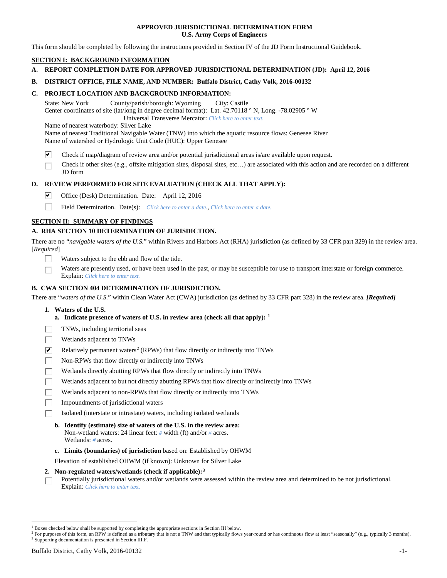### **APPROVED JURISDICTIONAL DETERMINATION FORM U.S. Army Corps of Engineers**

This form should be completed by following the instructions provided in Section IV of the JD Form Instructional Guidebook.

# **SECTION I: BACKGROUND INFORMATION**

**A. REPORT COMPLETION DATE FOR APPROVED JURISDICTIONAL DETERMINATION (JD): April 12, 2016**

### **B. DISTRICT OFFICE, FILE NAME, AND NUMBER: Buffalo District, Cathy Volk, 2016-00132**

### **C. PROJECT LOCATION AND BACKGROUND INFORMATION:**

State: New York County/parish/borough: Wyoming City: Castile Center coordinates of site (lat/long in degree decimal format): Lat. 42.70118 ° N, Long. -78.02905 ° W Universal Transverse Mercator: *Click here to enter text.*

Name of nearest waterbody: Silver Lake

Name of nearest Traditional Navigable Water (TNW) into which the aquatic resource flows: Genesee River Name of watershed or Hydrologic Unit Code (HUC): Upper Genesee

- ☑ Check if map/diagram of review area and/or potential jurisdictional areas is/are available upon request.
- Check if other sites (e.g., offsite mitigation sites, disposal sites, etc…) are associated with this action and are recorded on a different JD form

### **D. REVIEW PERFORMED FOR SITE EVALUATION (CHECK ALL THAT APPLY):**

- ⊽ Office (Desk) Determination. Date: April 12, 2016
- п Field Determination. Date(s): *Click here to enter a date.*, *Click here to enter a date.*

### **SECTION II: SUMMARY OF FINDINGS**

### **A. RHA SECTION 10 DETERMINATION OF JURISDICTION.**

There are no "*navigable waters of the U.S.*" within Rivers and Harbors Act (RHA) jurisdiction (as defined by 33 CFR part 329) in the review area. [*Required*]

- Waters subject to the ebb and flow of the tide.
- Waters are presently used, or have been used in the past, or may be susceptible for use to transport interstate or foreign commerce. Explain: *Click here to enter text.*

### **B. CWA SECTION 404 DETERMINATION OF JURISDICTION.**

There are "*waters of the U.S.*" within Clean Water Act (CWA) jurisdiction (as defined by 33 CFR part 328) in the review area. *[Required]*

- **1. Waters of the U.S.**
	- **a. Indicate presence of waters of U.S. in review area (check all that apply): [1](#page-0-0)**
- TNWs, including territorial seas
- Wetlands adjacent to TNWs
- $\overline{\mathbf{v}}$ Relatively permanent waters<sup>[2](#page-0-1)</sup> (RPWs) that flow directly or indirectly into TNWs
- П Non-RPWs that flow directly or indirectly into TNWs
- Wetlands directly abutting RPWs that flow directly or indirectly into TNWs
- Wetlands adjacent to but not directly abutting RPWs that flow directly or indirectly into TNWs
- Wetlands adjacent to non-RPWs that flow directly or indirectly into TNWs
- Impoundments of jurisdictional waters
- Isolated (interstate or intrastate) waters, including isolated wetlands
	- **b. Identify (estimate) size of waters of the U.S. in the review area:** Non-wetland waters: 24 linear feet: *#* width (ft) and/or *#* acres. Wetlands: *#* acres.
	- **c. Limits (boundaries) of jurisdiction** based on: Established by OHWM

Elevation of established OHWM (if known): Unknown for Silver Lake

#### **2. Non-regulated waters/wetlands (check if applicable):[3](#page-0-2)**

Potentially jurisdictional waters and/or wetlands were assessed within the review area and determined to be not jurisdictional. П Explain: *Click here to enter text.*

<span id="page-0-0"></span><sup>&</sup>lt;sup>1</sup> Boxes checked below shall be supported by completing the appropriate sections in Section III below.

<span id="page-0-2"></span><span id="page-0-1"></span><sup>&</sup>lt;sup>2</sup> For purposes of this form, an RPW is defined as a tributary that is not a TNW and that typically flows year-round or has continuous flow at least "seasonally" (e.g., typically 3 months). <sup>3</sup> Supporting documentation is presented in Section III.F.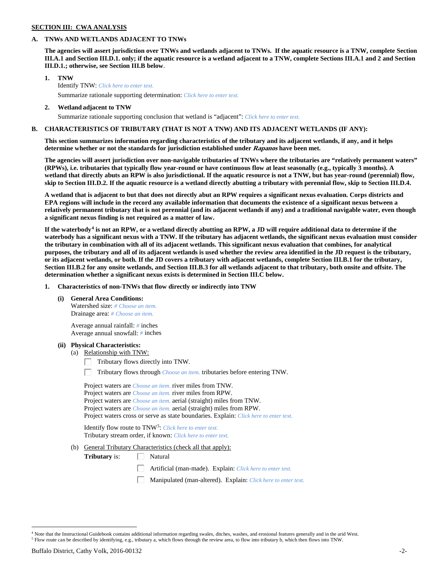## **SECTION III: CWA ANALYSIS**

### **A. TNWs AND WETLANDS ADJACENT TO TNWs**

**The agencies will assert jurisdiction over TNWs and wetlands adjacent to TNWs. If the aquatic resource is a TNW, complete Section III.A.1 and Section III.D.1. only; if the aquatic resource is a wetland adjacent to a TNW, complete Sections III.A.1 and 2 and Section III.D.1.; otherwise, see Section III.B below**.

- **1. TNW**  Identify TNW: *Click here to enter text.*
	- Summarize rationale supporting determination: *Click here to enter text.*
- **2. Wetland adjacent to TNW** Summarize rationale supporting conclusion that wetland is "adjacent": *Click here to enter text.*

### **B. CHARACTERISTICS OF TRIBUTARY (THAT IS NOT A TNW) AND ITS ADJACENT WETLANDS (IF ANY):**

**This section summarizes information regarding characteristics of the tributary and its adjacent wetlands, if any, and it helps determine whether or not the standards for jurisdiction established under Rapanos have been met.** 

**The agencies will assert jurisdiction over non-navigable tributaries of TNWs where the tributaries are "relatively permanent waters" (RPWs), i.e. tributaries that typically flow year-round or have continuous flow at least seasonally (e.g., typically 3 months). A wetland that directly abuts an RPW is also jurisdictional. If the aquatic resource is not a TNW, but has year-round (perennial) flow, skip to Section III.D.2. If the aquatic resource is a wetland directly abutting a tributary with perennial flow, skip to Section III.D.4.**

**A wetland that is adjacent to but that does not directly abut an RPW requires a significant nexus evaluation. Corps districts and EPA regions will include in the record any available information that documents the existence of a significant nexus between a relatively permanent tributary that is not perennial (and its adjacent wetlands if any) and a traditional navigable water, even though a significant nexus finding is not required as a matter of law.**

**If the waterbody[4](#page-1-0) is not an RPW, or a wetland directly abutting an RPW, a JD will require additional data to determine if the waterbody has a significant nexus with a TNW. If the tributary has adjacent wetlands, the significant nexus evaluation must consider the tributary in combination with all of its adjacent wetlands. This significant nexus evaluation that combines, for analytical purposes, the tributary and all of its adjacent wetlands is used whether the review area identified in the JD request is the tributary, or its adjacent wetlands, or both. If the JD covers a tributary with adjacent wetlands, complete Section III.B.1 for the tributary, Section III.B.2 for any onsite wetlands, and Section III.B.3 for all wetlands adjacent to that tributary, both onsite and offsite. The determination whether a significant nexus exists is determined in Section III.C below.**

**1. Characteristics of non-TNWs that flow directly or indirectly into TNW**

**(i) General Area Conditions:**

Watershed size: *# Choose an item.* Drainage area: *# Choose an item.*

Average annual rainfall: *#* inches Average annual snowfall: *#* inches

#### **(ii) Physical Characteristics:**

- (a) Relationship with TNW:
	- Tributary flows directly into TNW. Г.

Tributary flows through *Choose an item.* tributaries before entering TNW.

Project waters are *Choose an item.* river miles from TNW. Project waters are *Choose an item.* river miles from RPW. Project waters are *Choose an item.* aerial (straight) miles from TNW. Project waters are *Choose an item.* aerial (straight) miles from RPW. Project waters cross or serve as state boundaries. Explain: *Click here to enter text.*

Identify flow route to TNW[5:](#page-1-1) *Click here to enter text.* Tributary stream order, if known: *Click here to enter text.*

(b) General Tributary Characteristics (check all that apply):

**Tributary** is:  $\Box$  Natural

- Artificial (man-made). Explain: *Click here to enter text.*
- Manipulated (man-altered). Explain: *Click here to enter text.*

<span id="page-1-0"></span> <sup>4</sup> Note that the Instructional Guidebook contains additional information regarding swales, ditches, washes, and erosional features generally and in the arid West.

<span id="page-1-1"></span><sup>5</sup> Flow route can be described by identifying, e.g., tributary a, which flows through the review area, to flow into tributary b, which then flows into TNW.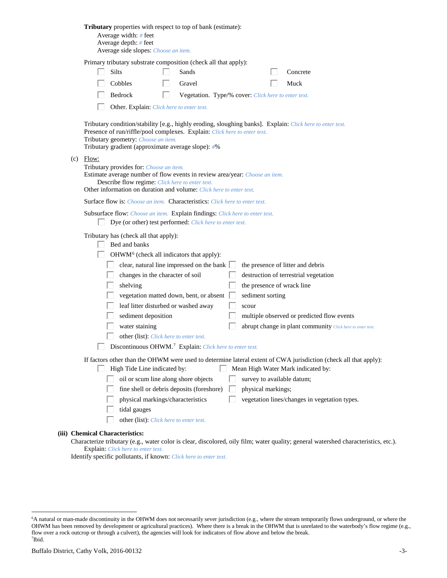| Tributary properties with respect to top of bank (estimate):<br>Average width: # feet<br>Average depth: $#$ feet<br>Average side slopes: Choose an item.                                                                                                                                                                                                                                                                                                                                                                                                                                                                                                                                                       |
|----------------------------------------------------------------------------------------------------------------------------------------------------------------------------------------------------------------------------------------------------------------------------------------------------------------------------------------------------------------------------------------------------------------------------------------------------------------------------------------------------------------------------------------------------------------------------------------------------------------------------------------------------------------------------------------------------------------|
| Primary tributary substrate composition (check all that apply):<br><b>Silts</b><br>Sands<br>Concrete<br>Cobbles<br>Gravel<br>Muck<br>Bedrock<br>Vegetation. Type/% cover: Click here to enter text.<br>H<br>Other. Explain: Click here to enter text.                                                                                                                                                                                                                                                                                                                                                                                                                                                          |
| Tributary condition/stability [e.g., highly eroding, sloughing banks]. Explain: Click here to enter text.<br>Presence of run/riffle/pool complexes. Explain: Click here to enter text.<br>Tributary geometry: Choose an item.<br>Tributary gradient (approximate average slope): #%                                                                                                                                                                                                                                                                                                                                                                                                                            |
| $(c)$ Flow:<br>Tributary provides for: Choose an item.<br>Estimate average number of flow events in review area/year: Choose an item.<br>Describe flow regime: Click here to enter text.<br>Other information on duration and volume: Click here to enter text.                                                                                                                                                                                                                                                                                                                                                                                                                                                |
| <b>Surface flow is:</b> <i>Choose an item.</i> <b>Characteristics:</b> <i>Click here to enter text.</i>                                                                                                                                                                                                                                                                                                                                                                                                                                                                                                                                                                                                        |
| Subsurface flow: Choose an item. Explain findings: Click here to enter text.<br>Dye (or other) test performed: Click here to enter text.                                                                                                                                                                                                                                                                                                                                                                                                                                                                                                                                                                       |
| Tributary has (check all that apply):<br>Bed and banks<br>OHWM <sup>6</sup> (check all indicators that apply):<br>clear, natural line impressed on the bank<br>the presence of litter and debris<br>destruction of terrestrial vegetation<br>changes in the character of soil<br>shelving<br>the presence of wrack line<br>vegetation matted down, bent, or absent<br>sediment sorting<br>leaf litter disturbed or washed away<br>scour<br>sediment deposition<br>multiple observed or predicted flow events<br>water staining<br>abrupt change in plant community Click here to enter text.<br>other (list): Click here to enter text.<br>Discontinuous OHWM. <sup>7</sup> Explain: Click here to enter text. |
| If factors other than the OHWM were used to determine lateral extent of CWA jurisdiction (check all that apply):<br>High Tide Line indicated by:<br>Mean High Water Mark indicated by:<br>L<br>oil or scum line along shore objects<br>survey to available datum;<br>fine shell or debris deposits (foreshore)<br>physical markings;<br>physical markings/characteristics<br>vegetation lines/changes in vegetation types.<br>tidal gauges<br>other (list): Click here to enter text.                                                                                                                                                                                                                          |
| (iii) Chemical Characteristics:<br>water color is close dissolared, oily film; water quality; conoral watershed characteristic                                                                                                                                                                                                                                                                                                                                                                                                                                                                                                                                                                                 |

Characterize tributary (e.g., water color is clear, discolored, oily film; water quality; general watershed characteristics, etc.). Explain: *Click here to enter text.*

Identify specific pollutants, if known: *Click here to enter text.*

<span id="page-2-1"></span><span id="page-2-0"></span> <sup>6</sup> <sup>6</sup>A natural or man-made discontinuity in the OHWM does not necessarily sever jurisdiction (e.g., where the stream temporarily flows underground, or where the OHWM has been removed by development or agricultural practices). Where there is a break in the OHWM that is unrelated to the waterbody's flow regime (e.g., flow over a rock outcrop or through a culvert), the agencies will look for indicators of flow above and below the break. 7 Ibid.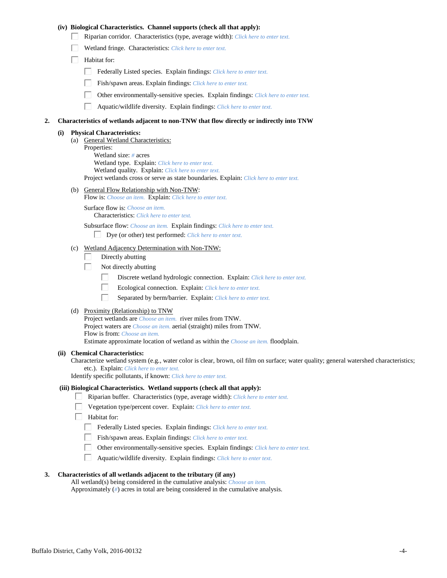### **(iv) Biological Characteristics. Channel supports (check all that apply):**

- Riparian corridor. Characteristics (type, average width): *Click here to enter text.*
- Wetland fringe. Characteristics: *Click here to enter text.*
- $\Box$  Habitat for:
	- Federally Listed species. Explain findings: *Click here to enter text.*
	- Fish/spawn areas. Explain findings: *Click here to enter text.*
	- Other environmentally-sensitive species. Explain findings: *Click here to enter text.*
	- $\Box$ Aquatic/wildlife diversity. Explain findings: *Click here to enter text.*

#### **2. Characteristics of wetlands adjacent to non-TNW that flow directly or indirectly into TNW**

#### **(i) Physical Characteristics:**

(a) General Wetland Characteristics: Properties: Wetland size: *#* acres Wetland type. Explain: *Click here to enter text.* Wetland quality. Explain: *Click here to enter text.* Project wetlands cross or serve as state boundaries. Explain: *Click here to enter text.*

(b) General Flow Relationship with Non-TNW:

Flow is: *Choose an item.* Explain: *Click here to enter text.*

Surface flow is: *Choose an item.* Characteristics: *Click here to enter text.*

Subsurface flow: *Choose an item.* Explain findings: *Click here to enter text.*

- Dye (or other) test performed: *Click here to enter text.*
- (c) Wetland Adjacency Determination with Non-TNW:
	- Directly abutting П.
	- П. Not directly abutting
		- П. Discrete wetland hydrologic connection. Explain: *Click here to enter text.*
		- П. Ecological connection. Explain: *Click here to enter text.*
		- П. Separated by berm/barrier. Explain: *Click here to enter text.*
- (d) Proximity (Relationship) to TNW

Project wetlands are *Choose an item.* river miles from TNW. Project waters are *Choose an item.* aerial (straight) miles from TNW. Flow is from: *Choose an item.* Estimate approximate location of wetland as within the *Choose an item.* floodplain.

#### **(ii) Chemical Characteristics:**

Characterize wetland system (e.g., water color is clear, brown, oil film on surface; water quality; general watershed characteristics; etc.). Explain: *Click here to enter text.*

Identify specific pollutants, if known: *Click here to enter text.*

#### **(iii) Biological Characteristics. Wetland supports (check all that apply):**

- Riparian buffer. Characteristics (type, average width): *Click here to enter text.*
	- Vegetation type/percent cover. Explain: *Click here to enter text.*
	- Habitat for:
		- Federally Listed species. Explain findings: *Click here to enter text*.
		- Fish/spawn areas. Explain findings: *Click here to enter text.*
		- Other environmentally-sensitive species. Explain findings: *Click here to enter text.*  $\Box$
		- $\Box$ Aquatic/wildlife diversity. Explain findings: *Click here to enter text.*

### **3. Characteristics of all wetlands adjacent to the tributary (if any)**

All wetland(s) being considered in the cumulative analysis: *Choose an item.* Approximately (*#*) acres in total are being considered in the cumulative analysis.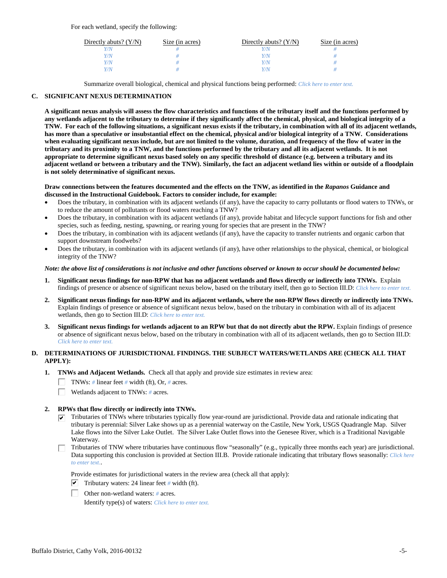For each wetland, specify the following:

| Directly abuts? $(Y/N)$ | Size (in acres) | Directly abuts? $(Y/N)$ | Size (in acres) |
|-------------------------|-----------------|-------------------------|-----------------|
|                         |                 |                         |                 |
| V/N                     |                 | Y/N                     |                 |
| V/N                     |                 | Y/N                     |                 |
|                         |                 | Y/N                     |                 |

Summarize overall biological, chemical and physical functions being performed: *Click here to enter text.*

### **C. SIGNIFICANT NEXUS DETERMINATION**

**A significant nexus analysis will assess the flow characteristics and functions of the tributary itself and the functions performed by any wetlands adjacent to the tributary to determine if they significantly affect the chemical, physical, and biological integrity of a TNW. For each of the following situations, a significant nexus exists if the tributary, in combination with all of its adjacent wetlands, has more than a speculative or insubstantial effect on the chemical, physical and/or biological integrity of a TNW. Considerations when evaluating significant nexus include, but are not limited to the volume, duration, and frequency of the flow of water in the tributary and its proximity to a TNW, and the functions performed by the tributary and all its adjacent wetlands. It is not appropriate to determine significant nexus based solely on any specific threshold of distance (e.g. between a tributary and its adjacent wetland or between a tributary and the TNW). Similarly, the fact an adjacent wetland lies within or outside of a floodplain is not solely determinative of significant nexus.** 

#### **Draw connections between the features documented and the effects on the TNW, as identified in the** *Rapanos* **Guidance and discussed in the Instructional Guidebook. Factors to consider include, for example:**

- Does the tributary, in combination with its adjacent wetlands (if any), have the capacity to carry pollutants or flood waters to TNWs, or to reduce the amount of pollutants or flood waters reaching a TNW?
- Does the tributary, in combination with its adjacent wetlands (if any), provide habitat and lifecycle support functions for fish and other species, such as feeding, nesting, spawning, or rearing young for species that are present in the TNW?
- Does the tributary, in combination with its adjacent wetlands (if any), have the capacity to transfer nutrients and organic carbon that support downstream foodwebs?
- Does the tributary, in combination with its adjacent wetlands (if any), have other relationships to the physical, chemical, or biological integrity of the TNW?

#### *Note: the above list of considerations is not inclusive and other functions observed or known to occur should be documented below:*

- **1. Significant nexus findings for non-RPW that has no adjacent wetlands and flows directly or indirectly into TNWs.** Explain findings of presence or absence of significant nexus below, based on the tributary itself, then go to Section III.D: *Click here to enter text.*
- **2. Significant nexus findings for non-RPW and its adjacent wetlands, where the non-RPW flows directly or indirectly into TNWs.**  Explain findings of presence or absence of significant nexus below, based on the tributary in combination with all of its adjacent wetlands, then go to Section III.D: *Click here to enter text.*
- **3. Significant nexus findings for wetlands adjacent to an RPW but that do not directly abut the RPW.** Explain findings of presence or absence of significant nexus below, based on the tributary in combination with all of its adjacent wetlands, then go to Section III.D: *Click here to enter text.*

# **D. DETERMINATIONS OF JURISDICTIONAL FINDINGS. THE SUBJECT WATERS/WETLANDS ARE (CHECK ALL THAT APPLY):**

- **1. TNWs and Adjacent Wetlands.** Check all that apply and provide size estimates in review area:
	- TNWs: *#* linear feet *#* width (ft), Or, *#* acres.
	- $\Box$ Wetlands adjacent to TNWs: *#* acres.
- **2. RPWs that flow directly or indirectly into TNWs.**
	- $\triangledown$  Tributaries of TNWs where tributaries typically flow year-round are jurisdictional. Provide data and rationale indicating that tributary is perennial: Silver Lake shows up as a perennial waterway on the Castile, New York, USGS Quadrangle Map. Silver Lake flows into the Silver Lake Outlet. The Silver Lake Outlet flows into the Genesee River, which is a Traditional Navigable Waterway.
	- Tributaries of TNW where tributaries have continuous flow "seasonally" (e.g., typically three months each year) are jurisdictional. Data supporting this conclusion is provided at Section III.B. Provide rationale indicating that tributary flows seasonally: *Click here to enter text.*.

Provide estimates for jurisdictional waters in the review area (check all that apply):

- $\triangledown$  Tributary waters: 24 linear feet # width (ft).
- Other non-wetland waters: *#* acres.

Identify type(s) of waters: *Click here to enter text.*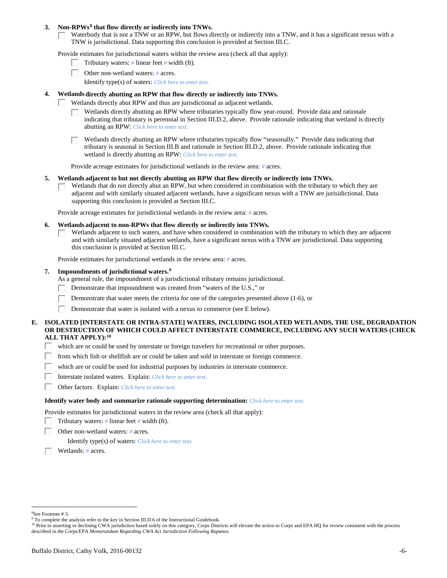### **3. Non-RPWs[8](#page-5-0) that flow directly or indirectly into TNWs.**

Waterbody that is not a TNW or an RPW, but flows directly or indirectly into a TNW, and it has a significant nexus with a TNW is jurisdictional. Data supporting this conclusion is provided at Section III.C.

Provide estimates for jurisdictional waters within the review area (check all that apply):

- Tributary waters: *#* linear feet *#* width (ft).  $\mathbf{L}$
- Other non-wetland waters: *#* acres.
	- Identify type(s) of waters: *Click here to enter text.*

### **4. Wetlands directly abutting an RPW that flow directly or indirectly into TNWs.**

- ГT. Wetlands directly abut RPW and thus are jurisdictional as adjacent wetlands.
	- Wetlands directly abutting an RPW where tributaries typically flow year-round. Provide data and rationale indicating that tributary is perennial in Section III.D.2, above. Provide rationale indicating that wetland is directly abutting an RPW: *Click here to enter text.*

Wetlands directly abutting an RPW where tributaries typically flow "seasonally." Provide data indicating that tributary is seasonal in Section III.B and rationale in Section III.D.2, above. Provide rationale indicating that wetland is directly abutting an RPW: *Click here to enter text.*

Provide acreage estimates for jurisdictional wetlands in the review area: *#* acres.

#### **5. Wetlands adjacent to but not directly abutting an RPW that flow directly or indirectly into TNWs.**

Wetlands that do not directly abut an RPW, but when considered in combination with the tributary to which they are П adjacent and with similarly situated adjacent wetlands, have a significant nexus with a TNW are jurisidictional. Data supporting this conclusion is provided at Section III.C.

Provide acreage estimates for jurisdictional wetlands in the review area: *#* acres.

### **6. Wetlands adjacent to non-RPWs that flow directly or indirectly into TNWs.**

Wetlands adjacent to such waters, and have when considered in combination with the tributary to which they are adjacent П and with similarly situated adjacent wetlands, have a significant nexus with a TNW are jurisdictional. Data supporting this conclusion is provided at Section III.C.

Provide estimates for jurisdictional wetlands in the review area: *#* acres.

### **7. Impoundments of jurisdictional waters. [9](#page-5-1)**

As a general rule, the impoundment of a jurisdictional tributary remains jurisdictional.

- Demonstrate that impoundment was created from "waters of the U.S.," or
- Demonstrate that water meets the criteria for one of the categories presented above (1-6), or
- Demonstrate that water is isolated with a nexus to commerce (see E below). Г

### **E. ISOLATED [INTERSTATE OR INTRA-STATE] WATERS, INCLUDING ISOLATED WETLANDS, THE USE, DEGRADATION OR DESTRUCTION OF WHICH COULD AFFECT INTERSTATE COMMERCE, INCLUDING ANY SUCH WATERS (CHECK ALL THAT APPLY):[10](#page-5-2)**

- L. which are or could be used by interstate or foreign travelers for recreational or other purposes.
- from which fish or shellfish are or could be taken and sold in interstate or foreign commerce.
- which are or could be used for industrial purposes by industries in interstate commerce. П.
- Г Interstate isolated waters.Explain: *Click here to enter text.*
- П Other factors.Explain: *Click here to enter text.*

#### **Identify water body and summarize rationale supporting determination:** *Click here to enter text.*

Provide estimates for jurisdictional waters in the review area (check all that apply):

- Tributary waters: *#* linear feet *#* width (ft).
- Other non-wetland waters: *#* acres.

Identify type(s) of waters: *Click here to enter text.*

Wetlands: *#* acres.

<span id="page-5-0"></span> $\frac{1}{8}$ See Footnote # 3.

<sup>&</sup>lt;sup>9</sup> To complete the analysis refer to the key in Section III.D.6 of the Instructional Guidebook.

<span id="page-5-2"></span><span id="page-5-1"></span><sup>&</sup>lt;sup>10</sup> Prior to asserting or declining CWA jurisdiction based solely on this category, Corps Districts will elevate the action to Corps and EPA HQ for review consistent with the process described in the Corps/EPA *Memorandum Regarding CWA Act Jurisdiction Following Rapanos.*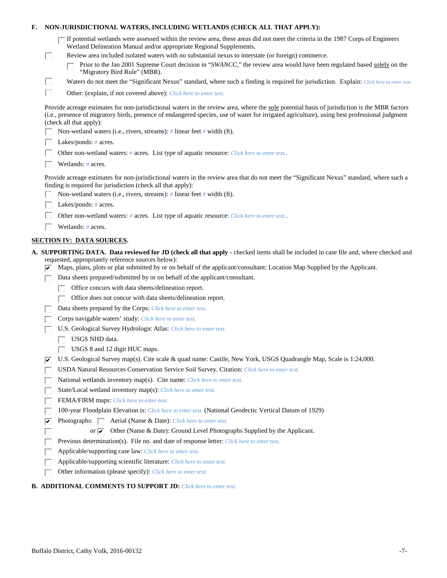| Е. |   | NON-JURISDICTIONAL WATERS, INCLUDING WETLANDS (CHECK ALL THAT APPLY):                                                                                                                                                                                                                                                     |
|----|---|---------------------------------------------------------------------------------------------------------------------------------------------------------------------------------------------------------------------------------------------------------------------------------------------------------------------------|
|    |   | If potential wetlands were assessed within the review area, these areas did not meet the criteria in the 1987 Corps of Engineers<br>Wetland Delineation Manual and/or appropriate Regional Supplements.                                                                                                                   |
|    | L | Review area included isolated waters with no substantial nexus to interstate (or foreign) commerce.                                                                                                                                                                                                                       |
|    |   | Prior to the Jan 2001 Supreme Court decision in "SWANCC," the review area would have been regulated based solely on the<br>"Migratory Bird Rule" (MBR).                                                                                                                                                                   |
|    | Ш | Waters do not meet the "Significant Nexus" standard, where such a finding is required for jurisdiction. Explain: Click here to enter text.                                                                                                                                                                                |
|    | П | Other: (explain, if not covered above): Click here to enter text.                                                                                                                                                                                                                                                         |
|    |   | Provide acreage estimates for non-jurisdictional waters in the review area, where the sole potential basis of jurisdiction is the MBR factors<br>(i.e., presence of migratory birds, presence of endangered species, use of water for irrigated agriculture), using best professional judgment<br>(check all that apply): |
|    |   | Non-wetland waters (i.e., rivers, streams): # linear feet # width (ft).                                                                                                                                                                                                                                                   |
|    |   | Lakes/ponds: $# \, \text{acres.}$                                                                                                                                                                                                                                                                                         |
|    |   | Other non-wetland waters: # acres. List type of aquatic resource: Click here to enter text                                                                                                                                                                                                                                |
|    |   | Wetlands: # acres.                                                                                                                                                                                                                                                                                                        |
|    |   | Provide acreage estimates for non-jurisdictional waters in the review area that do not meet the "Significant Nexus" standard, where such a<br>finding is required for jurisdiction (check all that apply):                                                                                                                |
|    |   | Non-wetland waters (i.e., rivers, streams): $\#$ linear feet $\#$ width (ft).                                                                                                                                                                                                                                             |
|    |   | Lakes/ponds: $# \, \text{acres.}$                                                                                                                                                                                                                                                                                         |
|    |   | Other non-wetland waters: # acres. List type of aquatic resource: Click here to enter text                                                                                                                                                                                                                                |
|    |   | Wetlands: # acres.                                                                                                                                                                                                                                                                                                        |
|    |   | <b>SECTION IV: DATA SOURCES.</b>                                                                                                                                                                                                                                                                                          |
|    |   | A. SUPPORTING DATA. Data reviewed for JD (check all that apply - checked items shall be included in case file and, where checked and                                                                                                                                                                                      |
|    |   | requested, appropriately reference sources below):<br>Maps, plans, plots or plat submitted by or on behalf of the applicant/consultant: Location Map Supplied by the Applicant.                                                                                                                                           |
|    |   | Data sheets prepared/submitted by or on behalf of the applicant/consultant.                                                                                                                                                                                                                                               |
|    |   | Office concurs with data sheets/delineation report.                                                                                                                                                                                                                                                                       |
|    |   | Office does not concur with data sheets/delineation report.                                                                                                                                                                                                                                                               |
|    |   | Data sheets prepared by the Corps: Click here to enter text.                                                                                                                                                                                                                                                              |
|    |   | Corps navigable waters' study: Click here to enter text.                                                                                                                                                                                                                                                                  |
|    |   | U.S. Geological Survey Hydrologic Atlas: Click here to enter text.                                                                                                                                                                                                                                                        |
|    |   | USGS NHD data.                                                                                                                                                                                                                                                                                                            |
|    |   | USGS 8 and 12 digit HUC maps.                                                                                                                                                                                                                                                                                             |
|    | ⊮ | U.S. Geological Survey map(s). Cite scale & quad name: Castile, New York, USGS Quadrangle Map, Scale is 1:24,000.                                                                                                                                                                                                         |
|    |   | USDA Natural Resources Conservation Service Soil Survey. Citation: Click here to enter text.                                                                                                                                                                                                                              |
|    |   | National wetlands inventory map(s). Cite name: Click here to enter text.                                                                                                                                                                                                                                                  |
|    |   | State/Local wetland inventory map(s): Click here to enter text.                                                                                                                                                                                                                                                           |
|    |   | FEMA/FIRM maps: Click here to enter text.                                                                                                                                                                                                                                                                                 |
|    |   | 100-year Floodplain Elevation is: Click here to enter text. (National Geodectic Vertical Datum of 1929)                                                                                                                                                                                                                   |
|    | ⊽ | Photographs: $\Box$<br>Aerial (Name & Date): Click here to enter text.                                                                                                                                                                                                                                                    |
|    |   | Other (Name & Date): Ground Level Photographs Supplied by the Applicant.<br>or $\overline{\mathbf{v}}$                                                                                                                                                                                                                    |
|    |   | Previous determination(s). File no. and date of response letter: Click here to enter text.                                                                                                                                                                                                                                |
|    |   | Applicable/supporting case law: Click here to enter text.                                                                                                                                                                                                                                                                 |
|    |   | Applicable/supporting scientific literature: Click here to enter text.                                                                                                                                                                                                                                                    |
|    |   | Other information (please specify): Click here to enter text.                                                                                                                                                                                                                                                             |
|    |   |                                                                                                                                                                                                                                                                                                                           |

# **B. ADDITIONAL COMMENTS TO SUPPORT JD:** *Click here to enter text.*